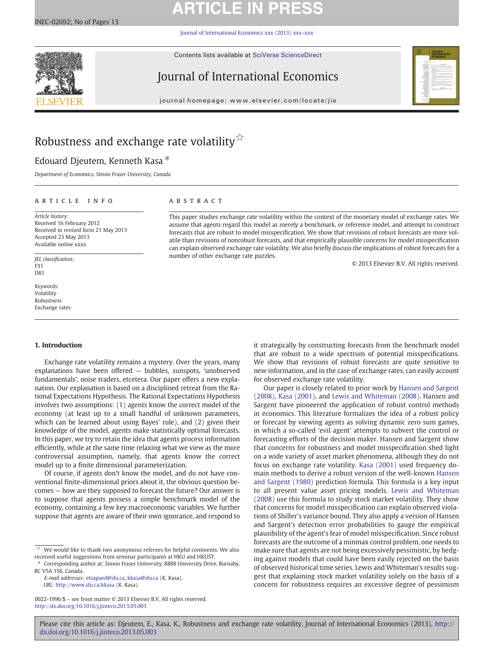# **ARTICLE IN PRESS**

[Journal of International Economics xxx \(2013\) xxx](http://dx.doi.org/10.1016/j.jinteco.2013.05.003)–xxx

Contents lists available at SciVerse ScienceDirect



## Journal of International Economics



journal homepage: www.elsevier.com/locate/jie

# Robustness and exchange rate volatility<sup>☆</sup>

## Edouard Djeutem, Kenneth Kasa<sup>\*</sup>

Department of Economics, Simon Fraser University, Canada

## article info abstract

Article history: Received 16 February 2012 Received in revised form 21 May 2013 Accepted 23 May 2013 Available online xxxx

JEL classification: F31 D81

Keywords: Volatility Robustness Exchange rates

## 1. Introduction

Exchange rate volatility remains a mystery. Over the years, many explanations have been offered — bubbles, sunspots, 'unobserved fundamentals', noise traders, etcetera. Our paper offers a new explanation. Our explanation is based on a disciplined retreat from the Rational Expectations Hypothesis. The Rational Expectations Hypothesis involves two assumptions: (1) agents know the correct model of the economy (at least up to a small handful of unknown parameters, which can be learned about using Bayes' rule), and (2) given their knowledge of the model, agents make statistically optimal forecasts. In this paper, we try to retain the idea that agents process information efficiently, while at the same time relaxing what we view as the more controversial assumption, namely, that agents know the correct model up to a finite dimensional parameterization.

Of course, if agents don't know the model, and do not have conventional finite-dimensional priors about it, the obvious question becomes — how are they supposed to forecast the future? Our answer is to suppose that agents possess a simple benchmark model of the economy, containing a few key macroeconomic variables. We further suppose that agents are aware of their own ignorance, and respond to

This paper studies exchange rate volatility within the context of the monetary model of exchange rates. We assume that agents regard this model as merely a benchmark, or reference model, and attempt to construct forecasts that are robust to model misspecification. We show that revisions of robust forecasts are more volatile than revisions of nonrobust forecasts, and that empirically plausible concerns for model misspecification can explain observed exchange rate volatility. We also briefly discuss the implications of robust forecasts for a number of other exchange rate puzzles.

© 2013 Elsevier B.V. All rights reserved.

it strategically by constructing forecasts from the benchmark model that are robust to a wide spectrum of potential misspecifications. We show that revisions of robust forecasts are quite sensitive to new information, and in the case of exchange rates, can easily account for observed exchange rate volatility.

Our paper is closely related to prior work by [Hansen and Sargent](#page--1-0) [\(2008\)](#page--1-0), [Kasa \(2001\),](#page--1-0) and [Lewis and Whiteman \(2008\)](#page--1-0). Hansen and Sargent have pioneered the application of robust control methods in economics. This literature formalizes the idea of a robust policy or forecast by viewing agents as solving dynamic zero sum games, in which a so-called 'evil agent' attempts to subvert the control or forecasting efforts of the decision maker. Hansen and Sargent show that concerns for robustness and model misspecification shed light on a wide variety of asset market phenomena, although they do not focus on exchange rate volatility. [Kasa \(2001\)](#page--1-0) used frequency domain methods to derive a robust version of the well-known [Hansen](#page--1-0) [and Sargent \(1980\)](#page--1-0) prediction formula. This formula is a key input to all present value asset pricing models. [Lewis and Whiteman](#page--1-0) [\(2008\)](#page--1-0) use this formula to study stock market volatility. They show that concerns for model misspecification can explain observed violations of Shiller's variance bound. They also apply a version of Hansen and Sargent's detection error probabilities to gauge the empirical plausibility of the agent's fear of model misspecification. Since robust forecasts are the outcome of a minmax control problem, one needs to make sure that agents are not being excessively pessimistic, by hedging against models that could have been easily rejected on the basis of observed historical time series. Lewis and Whiteman's results suggest that explaining stock market volatility solely on the basis of a concern for robustness requires an excessive degree of pessimism

We would like to thank two anonymous referees for helpful comments. We also received useful suggestions from seminar participants at HKU and HKUST.

<sup>⁎</sup> Corresponding author at: Simon Fraser University, 8888 University Drive, Burnaby, BC V5A 1S6, Canada.

E-mail addresses: [etsagued@sfu.ca,](mailto:etsagued@sfu.ca) [kkasa@sfu.ca](mailto:kkasa@sfu.ca) (K. Kasa). URL: <http://www.sfu.ca/kkasa> (K. Kasa).

<sup>0022-1996/\$</sup> – see front matter © 2013 Elsevier B.V. All rights reserved. <http://dx.doi.org/10.1016/j.jinteco.2013.05.003>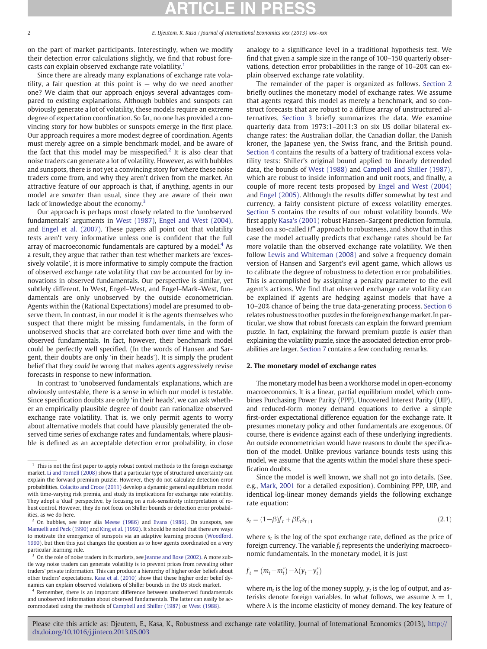on the part of market participants. Interestingly, when we modify their detection error calculations slightly, we find that robust forecasts can explain observed exchange rate volatility.<sup>1</sup>

Since there are already many explanations of exchange rate volatility, a fair question at this point is  $-$  why do we need another one? We claim that our approach enjoys several advantages compared to existing explanations. Although bubbles and sunspots can obviously generate a lot of volatility, these models require an extreme degree of expectation coordination. So far, no one has provided a convincing story for how bubbles or sunspots emerge in the first place. Our approach requires a more modest degree of coordination. Agents must merely agree on a simple benchmark model, and be aware of the fact that this model may be misspecified.<sup>2</sup> It is also clear that noise traders can generate a lot of volatility. However, as with bubbles and sunspots, there is not yet a convincing story for where these noise traders come from, and why they aren't driven from the market. An attractive feature of our approach is that, if anything, agents in our model are smarter than usual, since they are aware of their own lack of knowledge about the economy.<sup>3</sup>

Our approach is perhaps most closely related to the 'unobserved fundamentals' arguments in [West \(1987\)](#page--1-0), [Engel and West \(2004\),](#page--1-0) and [Engel et al. \(2007\)](#page--1-0). These papers all point out that volatility tests aren't very informative unless one is confident that the full array of macroeconomic fundamentals are captured by a model. $4$  As a result, they argue that rather than test whether markets are 'excessively volatile', it is more informative to simply compute the fraction of observed exchange rate volatility that can be accounted for by innovations in observed fundamentals. Our perspective is similar, yet subtlely different. In West, Engel–West, and Engel–Mark–West, fundamentals are only unobserved by the outside econometrician. Agents within the (Rational Expectations) model are presumed to observe them. In contrast, in our model it is the agents themselves who suspect that there might be missing fundamentals, in the form of unobserved shocks that are correlated both over time and with the observed fundamentals. In fact, however, their benchmark model could be perfectly well specified. (In the words of Hansen and Sargent, their doubts are only 'in their heads'). It is simply the prudent belief that they could be wrong that makes agents aggressively revise forecasts in response to new information.

In contrast to 'unobserved fundamentals' explanations, which are obviously untestable, there is a sense in which our model is testable. Since specification doubts are only 'in their heads', we can ask whether an empirically plausible degree of doubt can rationalize observed exchange rate volatility. That is, we only permit agents to worry about alternative models that could have plausibly generated the observed time series of exchange rates and fundamentals, where plausible is defined as an acceptable detection error probability, in close

analogy to a significance level in a traditional hypothesis test. We find that given a sample size in the range of 100–150 quarterly observations, detection error probabilities in the range of 10–20% can explain observed exchange rate volatility.

The remainder of the paper is organized as follows. Section 2 briefly outlines the monetary model of exchange rates. We assume that agents regard this model as merely a benchmark, and so construct forecasts that are robust to a diffuse array of unstructured alternatives. [Section 3](#page--1-0) briefly summarizes the data. We examine quarterly data from 1973:1–2011:3 on six US dollar bilateral exchange rates: the Australian dollar, the Canadian dollar, the Danish kroner, the Japanese yen, the Swiss franc, and the British pound. [Section 4](#page--1-0) contains the results of a battery of traditional excess volatility tests: Shiller's original bound applied to linearly detrended data, the bounds of [West \(1988\)](#page--1-0) and [Campbell and Shiller \(1987\)](#page--1-0), which are robust to inside information and unit roots, and finally, a couple of more recent tests proposed by [Engel and West \(2004\)](#page--1-0) and [Engel \(2005\)](#page--1-0). Although the results differ somewhat by test and currency, a fairly consistent picture of excess volatility emerges. [Section 5](#page--1-0) contains the results of our robust volatility bounds. We first apply [Kasa's \(2001\)](#page--1-0) robust Hansen–Sargent prediction formula, based on a so-called  $H^{\infty}$  approach to robustness, and show that in this case the model actually predicts that exchange rates should be far more volatile than the observed exchange rate volatility. We then follow [Lewis and Whiteman \(2008\)](#page--1-0) and solve a frequency domain version of Hansen and Sargent's evil agent game, which allows us to calibrate the degree of robustness to detection error probabilities. This is accomplished by assigning a penalty parameter to the evil agent's actions. We find that observed exchange rate volatility can be explained if agents are hedging against models that have a 10–20% chance of being the true data-generating process. [Section 6](#page--1-0) relates robustness to other puzzles in the foreign exchange market. In particular, we show that robust forecasts can explain the forward premium puzzle. In fact, explaining the forward premium puzzle is easier than explaining the volatility puzzle, since the associated detection error probabilities are larger. [Section 7](#page--1-0) contains a few concluding remarks.

#### 2. The monetary model of exchange rates

The monetary model has been a workhorse model in open-economy macroeconomics. It is a linear, partial equilibrium model, which combines Purchasing Power Parity (PPP), Uncovered Interest Parity (UIP), and reduced-form money demand equations to derive a simple first-order expectational difference equation for the exchange rate. It presumes monetary policy and other fundamentals are exogenous. Of course, there is evidence against each of these underlying ingredients. An outside econometrician would have reasons to doubt the specification of the model. Unlike previous variance bounds tests using this model, we assume that the agents within the model share these specification doubts.

Since the model is well known, we shall not go into details. (See, e.g., [Mark, 2001](#page--1-0) for a detailed exposition). Combining PPP, UIP, and identical log-linear money demands yields the following exchange rate equation:

$$
s_t = (1 - \beta)f_t + \beta E_t s_{t+1}
$$
\n(2.1)

where  $s_t$  is the log of the spot exchange rate, defined as the price of foreign currency. The variable  $f_t$  represents the underlying macroeconomic fundamentals. In the monetary model, it is just

$$
f_t = (m_t - m_t^*) - \lambda (y_t - y_t^*)
$$

where  $m_t$  is the log of the money supply,  $y_t$  is the log of output, and asterisks denote foreign variables. In what follows, we assume  $\lambda = 1$ , where  $\lambda$  is the income elasticity of money demand. The key feature of

 $^{\rm 1}$  This is not the first paper to apply robust control methods to the foreign exchange market. [Li and Tornell \(2008\)](#page--1-0) show that a particular type of structured uncertainty can explain the forward premium puzzle. However, they do not calculate detection error probabilities. [Colacito and Croce \(2011\)](#page--1-0) develop a dynamic general equilibrium model with time-varying risk premia, and study its implications for exchange rate volatility. They adopt a 'dual' perspective, by focusing on a risk-sensitivity interpretation of robust control. However, they do not focus on Shiller bounds or detection error probabilities, as we do here.

<sup>2</sup> On bubbles, see inter alia [Meese \(1986\)](#page--1-0) and [Evans \(1986\)](#page--1-0). On sunspots, see [Manuelli and Peck \(1990\)](#page--1-0) and [King et al. \(1992\).](#page--1-0) It should be noted that there are ways to motivate the emergence of sunspots via an adaptive learning process ([Woodford,](#page--1-0) [1990](#page--1-0)), but then this just changes the question as to how agents coordinated on a very particular learning rule.

<sup>&</sup>lt;sup>3</sup> On the role of noise traders in fx markets, see [Jeanne and Rose \(2002\)](#page--1-0). A more subtle way noise traders can generate volatility is to prevent prices from revealing other traders' private information. This can produce a hierarchy of higher order beliefs about other traders' expectations. [Kasa et al. \(2010\)](#page--1-0) show that these higher order belief dynamics can explain observed violations of Shiller bounds in the US stock market.

<sup>&</sup>lt;sup>4</sup> Remember, there is an important difference between unobserved fundamentals and unobserved information about observed fundamentals. The latter can easily be accommodated using the methods of [Campbell and Shiller \(1987\)](#page--1-0) or [West \(1988\)](#page--1-0).